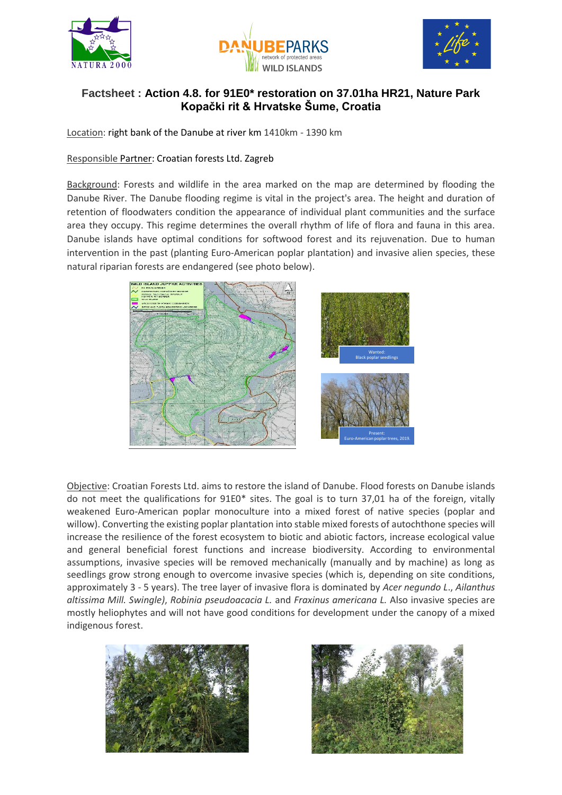





## **Factsheet : Action 4.8. for 91E0\* restoration on 37.01ha HR21, Nature Park Kopački rit & Hrvatske Šume, Croatia**

Location: right bank of the Danube at river km 1410km - 1390 km

## Responsible Partner: Croatian forests Ltd. Zagreb

Background: Forests and wildlife in the area marked on the map are determined by flooding the Danube River. The Danube flooding regime is vital in the project's area. The height and duration of retention of floodwaters condition the appearance of individual plant communities and the surface area they occupy. This regime determines the overall rhythm of life of flora and fauna in this area. Danube islands have optimal conditions for softwood forest and its rejuvenation. Due to human intervention in the past (planting Euro-American poplar plantation) and invasive alien species, these natural riparian forests are endangered (see photo below).



Objective: Croatian Forests Ltd. aims to restore the island of Danube. Flood forests on Danube islands do not meet the qualifications for 91E0\* sites. The goal is to turn 37,01 ha of the foreign, vitally weakened Euro-American poplar monoculture into a mixed forest of native species (poplar and willow). Converting the existing poplar plantation into stable mixed forests of autochthone species will increase the resilience of the forest ecosystem to biotic and abiotic factors, increase ecological value and general beneficial forest functions and increase biodiversity. According to environmental assumptions, invasive species will be removed mechanically (manually and by machine) as long as seedlings grow strong enough to overcome invasive species (which is, depending on site conditions, approximately 3 - 5 years). The tree layer of invasive flora is dominated by *Acer negundo L*., *Ailanthus altissima Mill. Swingle)*, *Robinia pseudoacacia L.* and *Fraxinus americana L.* Also invasive species are mostly heliophytes and will not have good conditions for development under the canopy of a mixed indigenous forest.